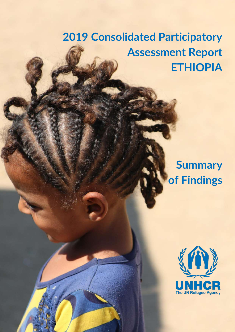# **2019 Consolidated Participatory Assessment Report ETHIOPIA**

## **Summary of Findings**

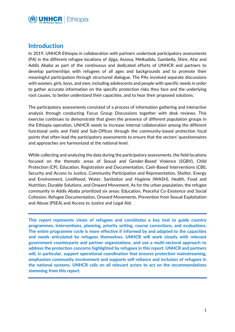

#### **Introduction**

In 2019, UNHCR Ethiopia in collaboration with partners undertook participatory assessments (PA) in the different refugee locations of Jijiga, Assosa, Melkadida, Gambella, Shire, Afar and Addis Ababa as part of the continuous and dedicated efforts of UNHCR and partners to develop partnerships with refugees of all ages and backgrounds and to promote their meaningful participation through structured dialogue. The PAs involved separate discussions with women, girls, boys, and men, including adolescents and people with specific needs in order to gather accurate information on the specific protection risks they face and the underlying root causes, to better understand their capacities, and to hear their proposed solutions.

The participatory assessments consisted of a process of information gathering and interactive analysis through conducting Focus Group Discussions together with desk reviews. This exercise continues to demonstrate that given the presence of different population groups in the Ethiopia operation, UNHCR needs to increase internal collaboration among the different functional units and Field and Sub-Offices through the community-based protection focal points that often lead the participatory assessments to ensure that the sectors' questionnaires and approaches are harmonized at the national level.

While collecting and analyzing the data during the participatory assessments, the field locations focused on the thematic areas of Sexual and Gender-Based Violence (SGBV), Child Protection (CP), Education, Registration and Documentation, Cash-Based Interventions (CBI), Security and Access to Justice, Community Participation and Representation, Shelter, Energy and Environment, Livelihood, Water, Sanitation and Hygiene (WASH), Health, Food and Nutrition, Durable Solutions, and Onward Movement. As for the urban population, the refugee community in Addis Ababa prioritized six areas: Education, Peaceful Co-Existence and Social Cohesion, Refugee Documentation, Onward Movements, Prevention from Sexual Exploitation and Abuse (PSEA) and Access to Justice and Legal Aid.

**This report represents views of refugees and constitutes a key tool to guide country programmes, interventions, planning, priority setting, course corrections, and evaluations. The entire programme cycle is more effective if informed by and adapted to the capacities and needs articulated by refugees themselves. UNHCR will work closely with relevant government counterparts and partner organizations, and use a multi-sectoral approach to address the protection concerns highlighted by refugees in this report. UNHCR and partners will, in particular, support operational coordination that ensures protection mainstreaming, emphasizes community involvement and supports self-reliance and inclusion of refugees in the national systems. UNHCR calls on all relevant actors to act on the recommendations stemming from this report.**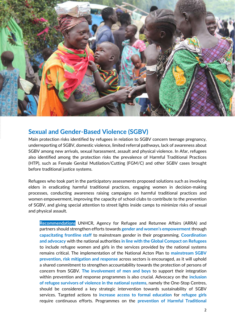

#### **Sexual and Gender-Based Violence (SGBV)**

Main protection risks identified by refugees in relation to SGBV concern teenage pregnancy, underreporting of SGBV, domestic violence, limited referral pathways, lack of awareness about SGBV among new arrivals, sexual harassment, assault and physical violence. In Afar, refugees also identified among the protection risks the prevalence of Harmful Traditional Practices (HTP), such as Female Genital Mutilation/Cutting (FGM/C) and other SGBV cases brought before traditional justice systems.

Refugees who took part in the participatory assessments proposed solutions such as involving elders in eradicating harmful traditional practices, engaging women in decision-making processes, conducting awareness raising campaigns on harmful traditional practices and women empowerment, improving the capacity of school clubs to contribute to the prevention of SGBV, and giving special attention to street lights inside camps to minimize risks of sexual and physical assault.

**Recommendations** UNHCR, Agency for Refugee and Returnee Affairs (ARRA) and partners should strengthen efforts towards **gender and women's empowerment** through **capacitating frontline staff** to mainstream gender in their programming. **Coordination and advocacy** with the national authorities **in line with the Global Compact on Refugees** to include refugee women and girls in the services provided by the national systems remains critical. The implementation of the National Acton Plan to **mainstream SGBV prevention**, **risk mitigation and response** across sectors is encouraged, as it will uphold a shared commitment to strengthen accountability towards the protection of persons of concern from SGBV. **The involvement of men and boys** to support their integration within prevention and response programmes is also crucial. Advocacy on the **inclusion of refugee survivors of violence in the national systems**, namely the One-Stop Centres, should be considered a key strategic intervention towards sustainability of SGBV services. Targeted actions to **increase access to formal education** for **refugee girls** require continuous efforts. Programmes on the **prevention of Harmful Traditional**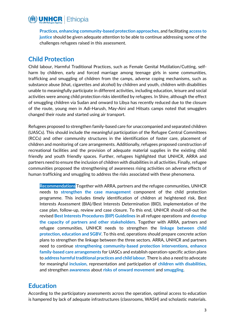

**Practices**, **enhancing community-based protection approaches**, and facilitating **access to justice** should be given adequate attention to be able to continue addressing some of the challenges refugees raised in this assessment.

#### **Child Protection**

Child labour, Harmful Traditional Practices, such as Female Genital Mutilation/Cutting, selfharm by children, early and forced marriage among teenage girls in some communities, trafficking and smuggling of children from the camps, adverse coping mechanisms, such as substance abuse (khat, cigarettes and alcohol) by children and youth, children with disabilities unable to meaningfully participate in different activities, including education, leisure and social activities were among child protection risks identified by refugees. In Shire, although the effect of smuggling children via Sudan and onward to Libya has recently reduced due to the closure of the route, young men in Adi-Harush, May-Aini and Hitsats camps noted that smugglers changed their route and started using air transport.

Refugees proposed to strengthen family-based care for unaccompanied and separated children (UASCs). This should include the meaningful participation of the Refugee Central Committees (RCCs) and other community structures in the identification of foster care, placement of children and monitoring of care arrangements. Additionally, refugees proposed construction of recreational facilities and the provision of adequate material supplies in the existing child friendly and youth friendly spaces. Further, refugees highlighted that UNHCR, ARRA and partners need to ensure the inclusion of children with disabilities in all activities. Finally, refugee communities proposed the strengthening of awareness rising activities on adverse effects of human trafficking and smuggling to address the risks associated with these phenomena.

**Recommendations** Together with ARRA, partners and the refugee communities, UNHCR needs to **strengthen the case management** component of the child protection programme. This includes timely identification of children at heightened risk, Best Interests Assessment (BIA)/Best Interests Determination (BID), implementation of the case plan, follow-up, review and case closure. To this end, UNHCR should roll-out the revised **Best Interests Procedures (BIP) Guidelines** in all refugee operations and **develop the capacity of partners and other stakeholders**. Together with ARRA, partners and refugee communities, UNHCR needs to strengthen the **linkage between child protection, education and SGBV**. To this end, operations should prepare concrete action plans to strengthen the linkage between the three sectors. ARRA, UNHCR and partners need to continue **strengthening community-based protection interventions**, **enhance family-based care arrangements** for UASCs and establish operation-specific action plans to **address harmful traditional practices and child labour**. There is also a need to advocate for meaningful **inclusion,** representation and participation of **children with disabilities**, and strengthen **awareness** about **risks of onward movement** and **smuggling**.

#### **Education**

According to the participatory assessments across the operation, optimal access to education is hampered by lack of adequate infrastructures (classrooms, WASH) and scholastic materials.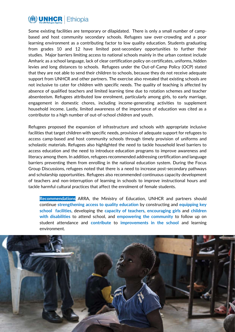

Some existing facilities are temporary or dilapidated. There is only a small number of campbased and host community secondary schools. Refugees saw over-crowding and a poor learning environment as a contributing factor to low quality education. Students graduating from grades 10 and 12 have limited post-secondary opportunities to further their studies. Major barriers limiting access to national schools mainly in the urban context include Amharic as a school language, lack of clear certification policy on certificates, uniforms, hidden levies and long distances to schools. Refugees under the Out-of-Camp Policy (OCP) stated that they are not able to send their children to schools, because they do not receive adequate support from UNHCR and other partners. The exercise also revealed that existing schools are not inclusive to cater for children with specific needs. The quality of teaching is affected by absence of qualified teachers and limited learning time due to rotation schemes and teacher absenteeism. Refugees attributed low enrolment, particularly among girls, to early marriage, engagement in domestic chores, including income-generating activities to supplement household income. Lastly, limited awareness of the importance of education was cited as a contributor to a high number of out-of-school children and youth.

Refugees proposed the expansion of infrastructure and schools with appropriate inclusive facilities that target children with specific needs, provision of adequate support for refugees to access camp-based and host community schools through timely provision of uniforms and scholastic materials. Refugees also highlighted the need to tackle household level barriers to access education and the need to introduce education programs to improve awareness and literacy among them. In addition, refugees recommended addressing certification and language barriers preventing them from enrolling in the national education system. During the Focus Group Discussions, refugees noted that there is a need to increase post-secondary pathways and scholarship opportunities. Refugees also recommended continuous capacity development of teachers and non-interruption of learning in schools to improve instructional hours and tackle harmful cultural practices that affect the enrolment of female students.

**Recommendations** ARRA, the Ministry of Education, UNHCR and partners should continue **strengthening access to quality education** by constructing and **equipping key school facilities**, developing the **capacity of teachers**, **encouraging girls** and **children with disabilities** to attend school, and **empowering the community** to follow up on student attendance and **contribute** to **improvements in the school** and learning environment.

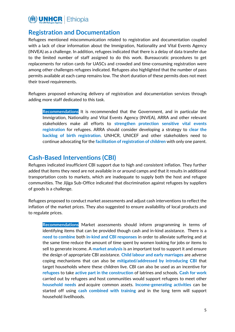

#### **Registration and Documentation**

Refugees mentioned miscommunication related to registration and documentation coupled with a lack of clear information about the Immigration, Nationality and Vital Events Agency (INVEA) as a challenge. In addition, refugees indicated that there is a delay of data transfer due to the limited number of staff assigned to do this work. Bureaucratic procedures to get replacements for ration cards for UASCs and crowded and time-consuming registration were among other challenges refugees indicated. Refugees also highlighted that the number of pass permits available at each camp remains low. The short duration of these permits does not meet their travel requirements.

Refugees proposed enhancing delivery of registration and documentation services through adding more staff dedicated to this task.

**Recommendations** It is recommended that the Government, and in particular the Immigration, Nationality and Vital Events Agency (INVEA), ARRA and other relevant stakeholders make all efforts to **strengthen protection sensitive vital events registration** for refugees. ARRA should consider developing a strategy to **clear the backlog of birth registration**. UNHCR, UNICEF and other stakeholders need to continue advocating for the **facilitation of registration of children** with only one parent.

#### **Cash-Based Interventions (CBI)**

Refugees indicated insufficient CBI support due to high and consistent inflation. They further added that items they need are not available in or around camps and that it results in additional transportation costs to markets, which are inadequate to supply both the host and refugee communities. The Jijiga Sub-Office indicated that discrimination against refugees by suppliers of goods is a challenge.

Refugees proposed to conduct market assessments and adjust cash interventions to reflect the inflation of the market prices. They also suggested to ensure availability of local products and to regulate prices.

**Recommendations** Market assessments should inform programming in terms of identifying items that can be provided though cash and in-kind assistance. There is a **need to combine** both **in-kind and CBI responses** in order to alleviate suffering and at the same time reduce the amount of time spent by women looking for jobs or items to sell to generate income. A **market analysis** is an important tool to support it and ensure the design of appropriate CBI assistance. **Child labour and early marriages** are adverse coping mechanisms that can also be **mitigated/addressed by introducing CBI** that target households where these children live. CBI can also be used as an incentive for **refugees** to take **active part in the construction** of latrines and schools. **Cash for work** carried out by refugees and host communities would support refugees to meet other **household needs** and acquire common assets. **Income-generating activities** can be started off using **cash combined with training** and in the long term will support household livelihoods.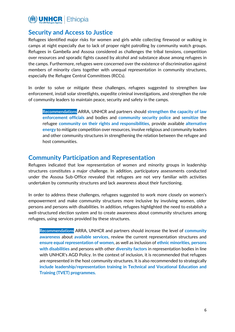

### **Security and Access to Justice**

Refugees identified major risks for women and girls while collecting firewood or walking in camps at night especially due to lack of proper night patrolling by community watch groups. Refugees in Gambella and Assosa considered as challenges the tribal tensions, competition over resources and sporadic fights caused by alcohol and substance abuse among refugees in the camps. Furthermore, refugees were concerned over the existence of discrimination against members of minority clans together with unequal representation in community structures, especially the Refugee Central Committees (RCCs).

In order to solve or mitigate these challenges, refugees suggested to strengthen law enforcement, install solar streetlights, expedite criminal investigations, and strengthen the role of community leaders to maintain peace, security and safety in the camps.

**Recommendations** ARRA, UNHCR and partners should **strengthen the capacity of law enforcement officials** and bodies and **community security police** and **sensitize** the refugee **community on their rights and responsibilities**, provide available **alternative energy** to mitigate competition over resources, involve religious and community leaders and other community structures in strengthening the relation between the refugee and host communities.

#### **Community Participation and Representation**

Refugees indicated that low representation of women and minority groups in leadership structures constitutes a major challenge. In addition, participatory assessments conducted under the Assosa Sub-Office revealed that refugees are not very familiar with activities undertaken by community structures and lack awareness about their functioning.

In order to address these challenges, refugees suggested to work more closely on women's empowerment and make community structures more inclusive by involving women, older persons and persons with disabilities. In addition, refugees highlighted the need to establish a well-structured election system and to create awareness about community structures among refugees, using services provided by these structures.

**Recommendations** ARRA, UNHCR and partners should increase the level of **community awareness** about **available services**, review the current representation structures and **ensure equal representation of women**, as well as inclusion of **ethnic minorities**, **persons with disabilities** and persons with other **diversity factors** in representation bodies in line with UNHCR's AGD Policy. In the context of inclusion, it is recommended that refugees are represented in the host community structures. It is also recommended to strategically **include leadership/representation training in Technical and Vocational Education and Training (TVET) programmes.**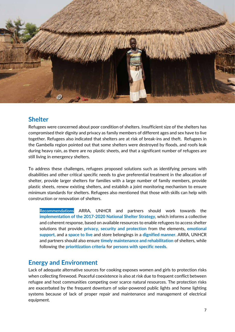

#### **Shelter**

Refugees were concerned about poor condition of shelters. Insufficient size of the shelters has compromised their dignity and privacy as family members of different ages and sex have to live together. Refugees also indicated that shelters are at risk of break-ins and theft. Refugees in the Gambella region pointed out that some shelters were destroyed by floods, and roofs leak during heavy rain, as there are no plastic sheets, and that a significant number of refugees are still living in emergency shelters.

To address these challenges, refugees proposed solutions such as identifying persons with disabilities and other critical specific needs to give preferential treatment in the allocation of shelter, provide larger shelters for families with a large number of family members, provide plastic sheets, renew existing shelters, and establish a joint monitoring mechanism to ensure minimum standards for shelters. Refugees also mentioned that those with skills can help with construction or renovation of shelters.

**Recommendations** ARRA, UNHCR and partners should work towards the **implementation of the 2017-2020 National Shelter Strategy**, which informs a collective and coherent response, based on available resources to enable refugees to access shelter solutions that provide **privacy, security and protection** from the elements, **emotional support,** and a **space to live** and store belongings in a **dignified manner.** ARRA, UNHCR and partners should also ensure **timely maintenance and rehabilitation** of shelters, while following the **prioritization criteria** for **persons with specific needs**.

## **Energy and Environment**

Lack of adequate alternative sources for cooking exposes women and girls to protection risks when collecting firewood. Peaceful coexistence is also at risk due to frequent conflict between refugee and host communities competing over scarce natural resources. The protection risks are exacerbated by the frequent downturn of solar-powered public lights and home lighting systems because of lack of proper repair and maintenance and management of electrical equipment.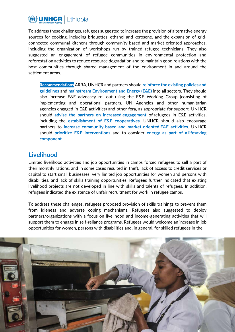

To address these challenges, refugees suggested to increase the provision of alternative energy sources for cooking, including briquettes, ethanol and kerosene, and the expansion of gridconnected communal kitchens through community-based and market-oriented approaches, including the organization of workshops run by trained refugee technicians. They also suggested an engagement of refugee communities in environmental protection and reforestation activities to reduce resource degradation and to maintain good relations with the host communities through shared management of the environment in and around the settlement areas.

**Recommendations** ARRA, UNHCR and partners should **reinforce the existing policies and guidelines** and **mainstream Environment and Energy (E&E)** into all sectors. They should also increase E&E advocacy roll-out using the E&E Working Group (consisting of implementing and operational partners, UN Agencies and other humanitarian agencies engaged in E&E activities) and other fora, as appropriate for support. UNHCR should **advise the partners on increased engagement** of refugees in E&E activities, including the **establishment of E&E cooperatives.** UNHCR should also encourage partners to **increase community-based and market-oriented E&E activities**. UNHCR should **prioritize E&E interventions** and to consider **energy as part of a lifesaving component.**

#### **Livelihood**

Limited livelihood activities and job opportunities in camps forced refugees to sell a part of their monthly rations, and in some cases resulted in theft, lack of access to credit services or capital to start small businesses, very limited job opportunities for women and persons with disabilities, and lack of skills training opportunities. Refugees further indicated that existing livelihood projects are not developed in line with skills and talents of refugees. In addition, refugees indicated the existence of unfair recruitment for work in refugee camps.

To address these challenges, refugees proposed provision of skills trainings to prevent them from idleness and adverse coping mechanisms. Refugees also suggested to deploy partners/organizations with a focus on livelihood and income-generating activities that will support them to engage in self-reliance programs. Refugees would welcome an increase in job opportunities for women, persons with disabilities and, in general, for skilled refugees in the

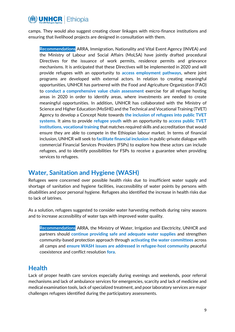

camps. They would also suggest creating closer linkages with micro-finance institutions and ensuring that livelihood projects are designed in consultation with them.

**Recommendations** ARRA, Immigration, Nationality and Vital Event Agency (INVEA) and the Ministry of Labour and Social Affairs (MoLSA) have jointly drafted procedural Directives for the issuance of work permits, residence permits and grievance mechanisms. It is anticipated that these Directives will be implemented in 2020 and will provide refugees with an opportunity to **access employment pathways**, where joint programs are developed with external actors. In relation to creating meaningful opportunities, UNHCR has partnered with the Food and Agriculture Organization (FAO) to **conduct a comprehensive value chain assessment** exercise for all refugee hosting areas in 2020 in order to identify areas, where investments are needed to create meaningful opportunities. In addition, UNHCR has collaborated with the Ministry of Science and Higher Education (MoSHE) and the Technical and Vocational Training (TVET) Agency to develop a Concept Note towards **the inclusion of refugees into public TVET systems.** It aims to provide **refugee youth** with an opportunity to **access public TVET institutions, vocational training** that matches required skills and accreditation that would ensure they are able to compete in the Ethiopian labour market. In terms of financial inclusion, UNHCR will seek to **facilitate financial inclusion** in public-private dialogue with commercial Financial Services Providers (FSPs) to explore how these actors can include refugees, and to identify possibilities for FSPs to receive a guarantee when providing services to refugees.

#### **Water, Sanitation and Hygiene (WASH)**

Refugees were concerned over possible health risks due to insufficient water supply and shortage of sanitation and hygiene facilities, inaccessibility of water points by persons with disabilities and poor personal hygiene. Refugees also identified the increase in health risks due to lack of latrines.

As a solution, refugees suggested to consider water harvesting methods during rainy seasons and to increase accessibility of water taps with improved water quality.

**Recommendations** ARRA, the Ministry of Water, Irrigation and Electricity, UNHCR and partners should **continue providing safe and adequate water supplies** and strengthen community-based protection approach through **activating the water committees** across all camps and **ensure WASH issues are addressed in refugee-host community** peaceful coexistence and conflict resolution **fora**.

#### **Health**

Lack of proper health care services especially during evenings and weekends, poor referral mechanisms and lack of ambulance services for emergencies, scarcity and lack of medicine and medical examination tools, lack of specialized treatment, and poor laboratory services are major challenges refugees identified during the participatory assessments.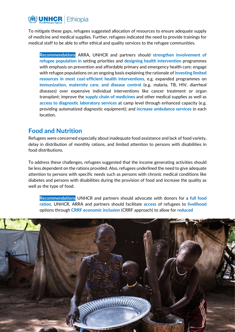

To mitigate these gaps, refugees suggested allocation of resources to ensure adequate supply of medicine and medical supplies. Further, refugees indicated the need to provide trainings for medical staff to be able to offer ethical and quality services to the refugee communities.

**Recommendations** ARRA, UNHCR and partners should **strengthen involvement of refugee population in** setting priorities and **designing health intervention** programmes with emphasis on prevention and affordable primary and emergency health care; engage with refugee populations on an ongoing basis explaining the rationale of **investing limited resources in most cost-efficient health interventions**, e.g. expanded programmes on **immunization, maternity care, and disease control** (e.g. malaria, TB, HIV, diarrheal diseases) over expensive individual interventions like cancer treatment or organ transplant; improve the **supply chain of medicines** and other medical supplies as well as **access to diagnostic laboratory services** at camp level through enhanced capacity (e.g. providing automatized diagnostic equipment); and **increase ambulance services** in each location.

#### **Food and Nutrition**

Refugees were concerned especially about inadequate food assistance and lack of food variety, delay in distribution of monthly rations, and limited attention to persons with disabilities in food distributions.

To address these challenges, refugees suggested that the income generating activities should be less dependent on the rations provided. Also, refugees underlined the need to give adequate attention to persons with specific needs such as persons with chronic medical conditions like diabetes and persons with disabilities during the provision of food and increase the quality as well as the type of food.

**Recommendations** UNHCR and partners should advocate with donors for a **full food ration**. UNHCR, ARRA and partners should facilitate **access** of refugees to **livelihood**  options through **CRRF economic inclusion** (CRRF approach) to allow for **reduced** 

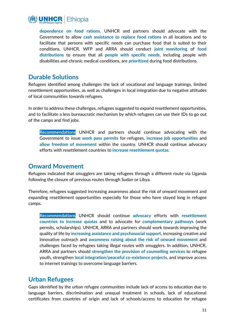

**dependence on food rations**. UNHCR and partners should advocate with the Government to allow **cash assistance to replace food rations** in all locations and to facilitate that persons with specific needs can purchase food that is suited to their conditions. UNHCR, WFP and ARRA should conduct **joint monitoring** of **food distributions** to ensure that all **people with specific needs**, including people with disabilities and chronic medical conditions, are **prioritized** during food distributions.

#### **Durable Solutions**

Refugees identified among challenges the lack of vocational and language trainings, limited resettlement opportunities, as well as challenges in local integration due to negative attitudes of local communities towards refugees.

In order to address these challenges, refugees suggested to expand resettlement opportunities, and to facilitate a less bureaucratic mechanism by which refugees can use their IDs to go out of the camps and find jobs.

**Recommendations** UNHCR and partners should continue advocating with the Government to issue **work pass permits** for refugees, **increase job opportunities** and **allow freedom of movement** within the country. UNHCR should continue advocacy efforts with resettlement countries to **increase resettlement quotas.**

#### **Onward Movement**

Refugees indicated that smugglers are taking refugees through a different route via Uganda following the closure of previous routes through Sudan or Libya.

Therefore, refugees suggested increasing awareness about the risk of onward movement and expanding resettlement opportunities especially for those who have stayed long in refugee camps.

**Recommendations** UNHCR should continue **advocacy** efforts with **resettlement countries to increase quotas** and to advocate for **complementary pathways** (work permits, scholarships). UNHCR, ARRA and partners should work towards improving the quality of life by **increasing assistance and psychosocial support**, increasing creative and innovative outreach and **awareness raising about the risk of onward movement** and challenges faced by refugees taking illegal routes with smugglers. In addition, UNHCR, ARRA and partners should **strengthen the provision of counselling services** to refugee youth, strengthen **local integration/peaceful co-existence projects**, and improve access to internet trainings to overcome language barriers.

#### **Urban Refugees**

Gaps identified by the urban refugee communities include lack of access to education due to language barriers, discrimination and unequal treatment in schools, lack of educational certificates from countries of origin and lack of schools/access to education for refugee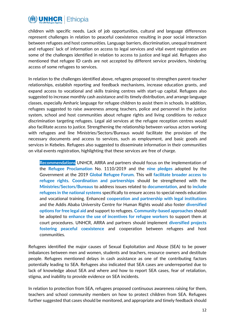

children with specific needs. Lack of job opportunities, cultural and language differences represent challenges in relation to peaceful coexistence resulting in poor social interaction between refugees and host communities. Language barriers, discrimination, unequal treatment and refugees' lack of information on access to legal services and vital event registration are some of the challenges identified in relation to access to justice and legal aid. Refugees also mentioned that refugee ID cards are not accepted by different service providers, hindering access of some refugees to services.

In relation to the challenges identified above, refugees proposed to strengthen parent-teacher relationships, establish reporting and feedback mechanisms, increase education grants, and expand access to vocational and skills training centres with start-up capital. Refugees also suggested to increase monthly cash assistance and its timely distribution, and arrange language classes, especially Amharic language for refugee children to assist them in schools. In addition, refugees suggested to raise awareness among teachers, police and personnel in the justice system, school and host communities about refugee rights and living conditions to reduce discrimination targeting refugees. Legal aid services at the refugee reception centres would also facilitate access to justice. Strengthening the relationship between various actors working with refugees and line Ministries/Sectors/Bureaus would facilitate the provision of the necessary documents and access to services, such as employment, and basic goods and services in Kebeles. Refugees also suggested to disseminate information in their communities on vital events registration, highlighting that these services are free of charge.

**Recommendations** UNHCR, ARRA and partners should focus on the implementation of the **Refugee Proclamation** No. 1110/2019 and the **nine pledges** adopted by the Government at the 2019 **Global Refugee Forum**. This will **facilitate broader access to refugee rights**. **Coordination and partnerships** should be strengthened with the **Ministries/Sectors/Bureaus** to address issues related to **documentation**, and to **include refugees in the national systems** specifically to ensure access to special needs education and vocational training. Enhanced **cooperation and partnership with legal institutions** and the Addis Ababa University Centre for Human Rights would also foster **diversified options for free legal aid** and support to refugees. **Community-based approaches** should be adopted to **enhance the use of incentives for refugee workers** to support them at court procedures. UNHCR, ARRA and partners should implement **diversified projects fostering peaceful coexistence** and cooperation between refugees and host communities.

Refugees identified the major causes of Sexual Exploitation and Abuse (SEA) to be power imbalances between men and women, students and teachers, resource owners and destitute people. Refugees mentioned delays in cash assistance as one of the contributing factors potentially leading to SEA. Refugees also indicated that SEA cases are underreported due to lack of knowledge about SEA and where and how to report SEA cases, fear of retaliation, stigma, and inability to provide evidence on SEA incidents.

In relation to protection from SEA, refugees proposed continuous awareness raising for them, teachers and school community members on how to protect children from SEA. Refugees further suggested that cases should be monitored, and appropriate and timely feedback should